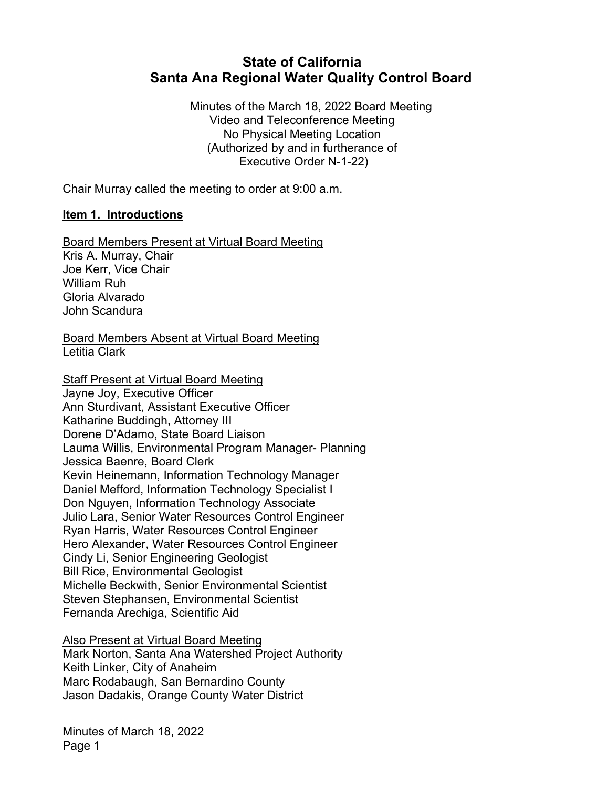# **State of California Santa Ana Regional Water Quality Control Board**

Minutes of the March 18, 2022 Board Meeting Video and Teleconference Meeting No Physical Meeting Location (Authorized by and in furtherance of Executive Order N-1-22)

Chair Murray called the meeting to order at 9:00 a.m.

#### **Item 1. Introductions**

Board Members Present at Virtual Board Meeting Kris A. Murray, Chair Joe Kerr, Vice Chair William Ruh Gloria Alvarado John Scandura

Board Members Absent at Virtual Board Meeting Letitia Clark

Staff Present at Virtual Board Meeting Jayne Joy, Executive Officer Ann Sturdivant, Assistant Executive Officer Katharine Buddingh, Attorney III Dorene D'Adamo, State Board Liaison Lauma Willis, Environmental Program Manager- Planning Jessica Baenre, Board Clerk Kevin Heinemann, Information Technology Manager Daniel Mefford, Information Technology Specialist I Don Nguyen, Information Technology Associate Julio Lara, Senior Water Resources Control Engineer Ryan Harris, Water Resources Control Engineer Hero Alexander, Water Resources Control Engineer Cindy Li, Senior Engineering Geologist Bill Rice, Environmental Geologist Michelle Beckwith, Senior Environmental Scientist Steven Stephansen, Environmental Scientist Fernanda Arechiga, Scientific Aid

Also Present at Virtual Board Meeting Mark Norton, Santa Ana Watershed Project Authority Keith Linker, City of Anaheim Marc Rodabaugh, San Bernardino County Jason Dadakis, Orange County Water District

Minutes of March 18, 2022 Page 1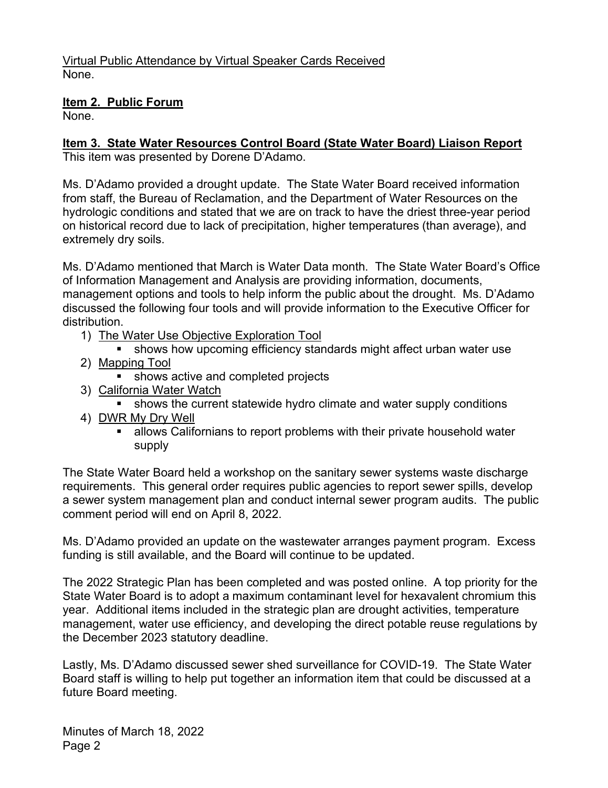## **Item 2. Public Forum**

None.

# **Item 3. State Water Resources Control Board (State Water Board) Liaison Report**

This item was presented by Dorene D'Adamo.

Ms. D'Adamo provided a drought update. The State Water Board received information from staff, the Bureau of Reclamation, and the Department of Water Resources on the hydrologic conditions and stated that we are on track to have the driest three-year period on historical record due to lack of precipitation, higher temperatures (than average), and extremely dry soils.

Ms. D'Adamo mentioned that March is Water Data month. The State Water Board's Office of Information Management and Analysis are providing information, documents, management options and tools to help inform the public about the drought. Ms. D'Adamo discussed the following four tools and will provide information to the Executive Officer for distribution.

- 1) The Water Use Objective Exploration Tool
	- shows how upcoming efficiency standards might affect urban water use
- 2) Mapping Tool
	- shows active and completed projects
- 3) California Water Watch
	- § shows the current statewide hydro climate and water supply conditions
- 4) DWR My Dry Well
	- **■** allows Californians to report problems with their private household water supply

The State Water Board held a workshop on the sanitary sewer systems waste discharge requirements. This general order requires public agencies to report sewer spills, develop a sewer system management plan and conduct internal sewer program audits. The public comment period will end on April 8, 2022.

Ms. D'Adamo provided an update on the wastewater arranges payment program. Excess funding is still available, and the Board will continue to be updated.

The 2022 Strategic Plan has been completed and was posted online. A top priority for the State Water Board is to adopt a maximum contaminant level for hexavalent chromium this year. Additional items included in the strategic plan are drought activities, temperature management, water use efficiency, and developing the direct potable reuse regulations by the December 2023 statutory deadline.

Lastly, Ms. D'Adamo discussed sewer shed surveillance for COVID-19. The State Water Board staff is willing to help put together an information item that could be discussed at a future Board meeting.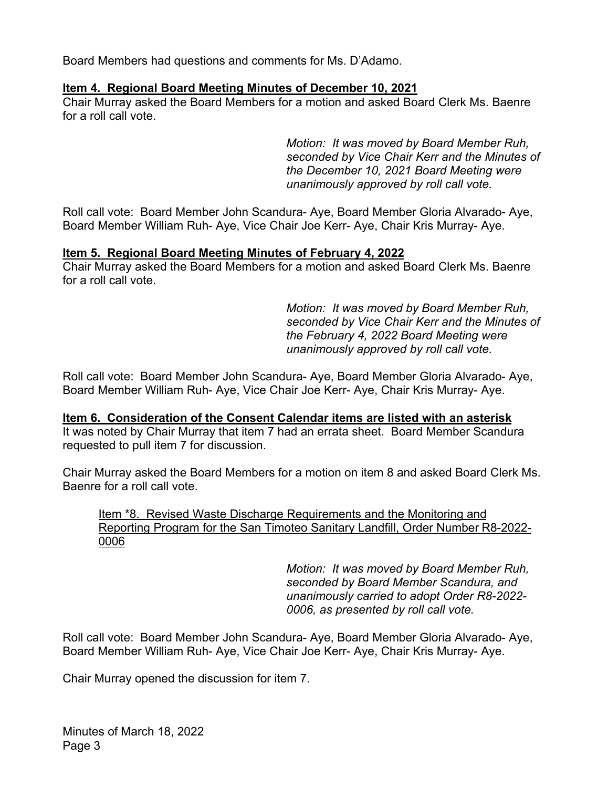Board Members had questions and comments for Ms. D'Adamo.

#### **Item 4. Regional Board Meeting Minutes of December 10, 2021**

Chair Murray asked the Board Members for a motion and asked Board Clerk Ms. Baenre for a roll call vote.

> *Motion: It was moved by Board Member Ruh, seconded by Vice Chair Kerr and the Minutes of the December 10, 2021 Board Meeting were unanimously approved by roll call vote.*

Roll call vote: Board Member John Scandura- Aye, Board Member Gloria Alvarado- Aye, Board Member William Ruh- Aye, Vice Chair Joe Kerr- Aye, Chair Kris Murray- Aye.

#### **Item 5. Regional Board Meeting Minutes of February 4, 2022**

Chair Murray asked the Board Members for a motion and asked Board Clerk Ms. Baenre for a roll call vote.

> *Motion: It was moved by Board Member Ruh, seconded by Vice Chair Kerr and the Minutes of the February 4, 2022 Board Meeting were unanimously approved by roll call vote.*

Roll call vote: Board Member John Scandura- Aye, Board Member Gloria Alvarado- Aye, Board Member William Ruh- Aye, Vice Chair Joe Kerr- Aye, Chair Kris Murray- Aye.

**Item 6. Consideration of the Consent Calendar items are listed with an asterisk** It was noted by Chair Murray that item 7 had an errata sheet. Board Member Scandura requested to pull item 7 for discussion.

Chair Murray asked the Board Members for a motion on item 8 and asked Board Clerk Ms. Baenre for a roll call vote.

Item \*8. Revised Waste Discharge Requirements and the Monitoring and Reporting Program for the San Timoteo Sanitary Landfill, Order Number R8-2022- 0006

> *Motion: It was moved by Board Member Ruh, seconded by Board Member Scandura, and unanimously carried to adopt Order R8-2022- 0006, as presented by roll call vote.*

Roll call vote: Board Member John Scandura- Aye, Board Member Gloria Alvarado- Aye, Board Member William Ruh- Aye, Vice Chair Joe Kerr- Aye, Chair Kris Murray- Aye.

Chair Murray opened the discussion for item 7.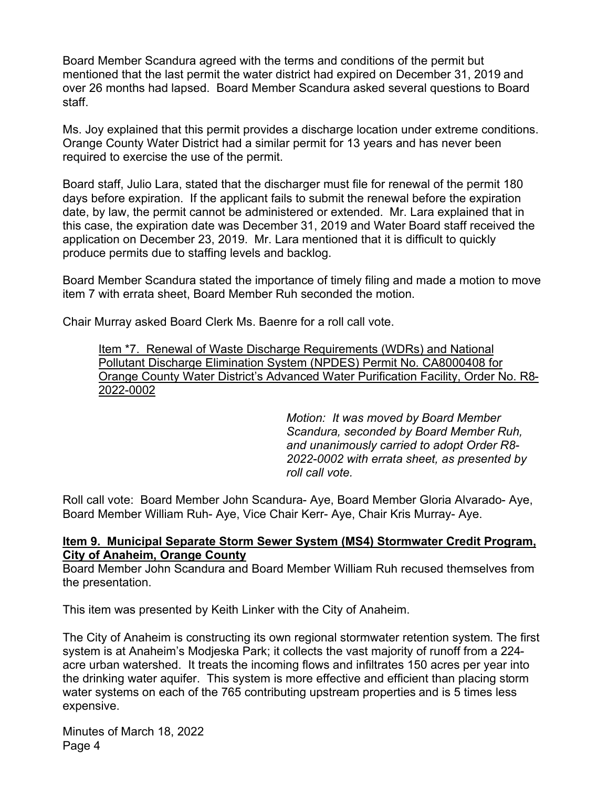Board Member Scandura agreed with the terms and conditions of the permit but mentioned that the last permit the water district had expired on December 31, 2019 and over 26 months had lapsed. Board Member Scandura asked several questions to Board staff.

Ms. Joy explained that this permit provides a discharge location under extreme conditions. Orange County Water District had a similar permit for 13 years and has never been required to exercise the use of the permit.

Board staff, Julio Lara, stated that the discharger must file for renewal of the permit 180 days before expiration. If the applicant fails to submit the renewal before the expiration date, by law, the permit cannot be administered or extended. Mr. Lara explained that in this case, the expiration date was December 31, 2019 and Water Board staff received the application on December 23, 2019. Mr. Lara mentioned that it is difficult to quickly produce permits due to staffing levels and backlog.

Board Member Scandura stated the importance of timely filing and made a motion to move item 7 with errata sheet, Board Member Ruh seconded the motion.

Chair Murray asked Board Clerk Ms. Baenre for a roll call vote.

Item \*7. Renewal of Waste Discharge Requirements (WDRs) and National Pollutant Discharge Elimination System (NPDES) Permit No. CA8000408 for Orange County Water District's Advanced Water Purification Facility, Order No. R8- 2022-0002

> *Motion: It was moved by Board Member Scandura, seconded by Board Member Ruh, and unanimously carried to adopt Order R8- 2022-0002 with errata sheet, as presented by roll call vote.*

Roll call vote: Board Member John Scandura- Aye, Board Member Gloria Alvarado- Aye, Board Member William Ruh- Aye, Vice Chair Kerr- Aye, Chair Kris Murray- Aye.

#### **Item 9. Municipal Separate Storm Sewer System (MS4) Stormwater Credit Program, City of Anaheim, Orange County**

Board Member John Scandura and Board Member William Ruh recused themselves from the presentation.

This item was presented by Keith Linker with the City of Anaheim.

The City of Anaheim is constructing its own regional stormwater retention system. The first system is at Anaheim's Modjeska Park; it collects the vast majority of runoff from a 224 acre urban watershed. It treats the incoming flows and infiltrates 150 acres per year into the drinking water aquifer. This system is more effective and efficient than placing storm water systems on each of the 765 contributing upstream properties and is 5 times less expensive.

Minutes of March 18, 2022 Page 4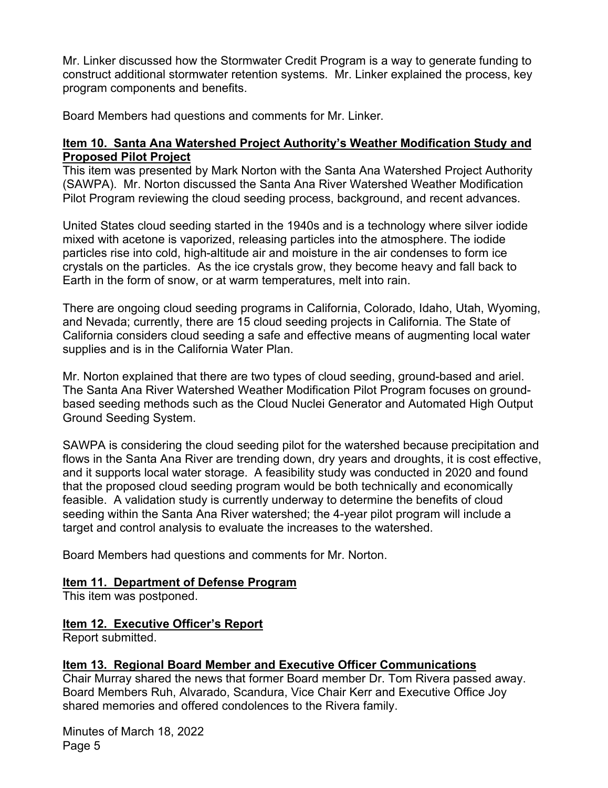Mr. Linker discussed how the Stormwater Credit Program is a way to generate funding to construct additional stormwater retention systems. Mr. Linker explained the process, key program components and benefits.

Board Members had questions and comments for Mr. Linker.

#### **Item 10. Santa Ana Watershed Project Authority's Weather Modification Study and Proposed Pilot Project**

This item was presented by Mark Norton with the Santa Ana Watershed Project Authority (SAWPA). Mr. Norton discussed the Santa Ana River Watershed Weather Modification Pilot Program reviewing the cloud seeding process, background, and recent advances.

United States cloud seeding started in the 1940s and is a technology where silver iodide mixed with acetone is vaporized, releasing particles into the atmosphere. The iodide particles rise into cold, high-altitude air and moisture in the air condenses to form ice crystals on the particles. As the ice crystals grow, they become heavy and fall back to Earth in the form of snow, or at warm temperatures, melt into rain.

There are ongoing cloud seeding programs in California, Colorado, Idaho, Utah, Wyoming, and Nevada; currently, there are 15 cloud seeding projects in California. The State of California considers cloud seeding a safe and effective means of augmenting local water supplies and is in the California Water Plan.

Mr. Norton explained that there are two types of cloud seeding, ground-based and ariel. The Santa Ana River Watershed Weather Modification Pilot Program focuses on groundbased seeding methods such as the Cloud Nuclei Generator and Automated High Output Ground Seeding System.

SAWPA is considering the cloud seeding pilot for the watershed because precipitation and flows in the Santa Ana River are trending down, dry years and droughts, it is cost effective, and it supports local water storage. A feasibility study was conducted in 2020 and found that the proposed cloud seeding program would be both technically and economically feasible. A validation study is currently underway to determine the benefits of cloud seeding within the Santa Ana River watershed; the 4-year pilot program will include a target and control analysis to evaluate the increases to the watershed.

Board Members had questions and comments for Mr. Norton.

## **Item 11. Department of Defense Program**

This item was postponed.

## **Item 12. Executive Officer's Report**

Report submitted.

## **Item 13. Regional Board Member and Executive Officer Communications**

Chair Murray shared the news that former Board member Dr. Tom Rivera passed away. Board Members Ruh, Alvarado, Scandura, Vice Chair Kerr and Executive Office Joy shared memories and offered condolences to the Rivera family.

Minutes of March 18, 2022 Page 5